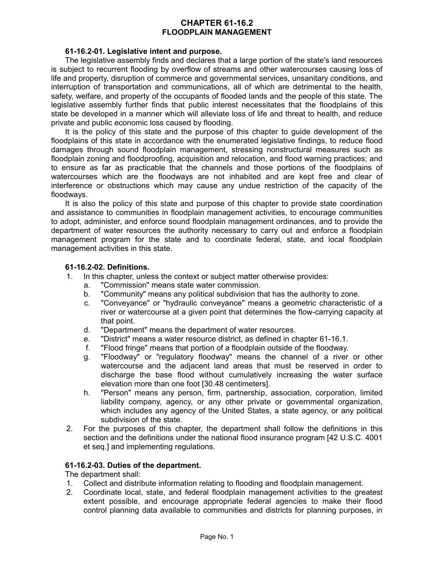# **CHAPTER 61-16.2 FLOODPLAIN MANAGEMENT**

### **61-16.2-01. Legislative intent and purpose.**

The legislative assembly finds and declares that a large portion of the state's land resources is subject to recurrent flooding by overflow of streams and other watercourses causing loss of life and property, disruption of commerce and governmental services, unsanitary conditions, and interruption of transportation and communications, all of which are detrimental to the health, safety, welfare, and property of the occupants of flooded lands and the people of this state. The legislative assembly further finds that public interest necessitates that the floodplains of this state be developed in a manner which will alleviate loss of life and threat to health, and reduce private and public economic loss caused by flooding.

It is the policy of this state and the purpose of this chapter to guide development of the floodplains of this state in accordance with the enumerated legislative findings, to reduce flood damages through sound floodplain management, stressing nonstructural measures such as floodplain zoning and floodproofing, acquisition and relocation, and flood warning practices; and to ensure as far as practicable that the channels and those portions of the floodplains of watercourses which are the floodways are not inhabited and are kept free and clear of interference or obstructions which may cause any undue restriction of the capacity of the floodways.

It is also the policy of this state and purpose of this chapter to provide state coordination and assistance to communities in floodplain management activities, to encourage communities to adopt, administer, and enforce sound floodplain management ordinances, and to provide the department of water resources the authority necessary to carry out and enforce a floodplain management program for the state and to coordinate federal, state, and local floodplain management activities in this state.

### **61-16.2-02. Definitions.**

- 1. In this chapter, unless the context or subject matter otherwise provides:
	- a. "Commission" means state water commission.
	- b. "Community" means any political subdivision that has the authority to zone.
	- c. "Conveyance" or "hydraulic conveyance" means a geometric characteristic of a river or watercourse at a given point that determines the flow-carrying capacity at that point.
	- d. "Department" means the department of water resources.
	- e. "District" means a water resource district, as defined in chapter 61-16.1.
	- f. "Flood fringe" means that portion of a floodplain outside of the floodway.
	- g. "Floodway" or "regulatory floodway" means the channel of a river or other watercourse and the adjacent land areas that must be reserved in order to discharge the base flood without cumulatively increasing the water surface elevation more than one foot [30.48 centimeters].
	- h. "Person" means any person, firm, partnership, association, corporation, limited liability company, agency, or any other private or governmental organization, which includes any agency of the United States, a state agency, or any political subdivision of the state.
- 2. For the purposes of this chapter, the department shall follow the definitions in this section and the definitions under the national flood insurance program [42 U.S.C. 4001 et seq.] and implementing regulations.

#### **61-16.2-03. Duties of the department.**

The department shall:

- 1. Collect and distribute information relating to flooding and floodplain management.
- 2. Coordinate local, state, and federal floodplain management activities to the greatest extent possible, and encourage appropriate federal agencies to make their flood control planning data available to communities and districts for planning purposes, in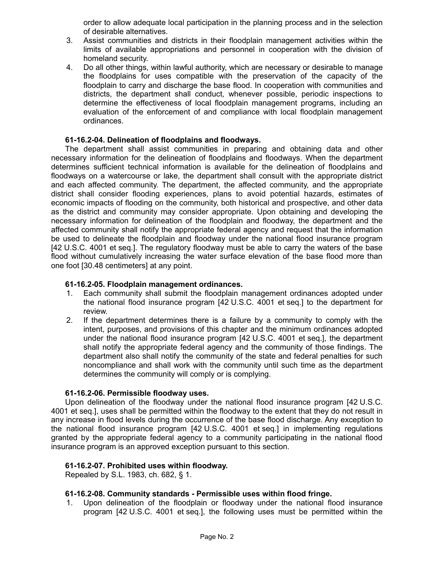order to allow adequate local participation in the planning process and in the selection of desirable alternatives.

- 3. Assist communities and districts in their floodplain management activities within the limits of available appropriations and personnel in cooperation with the division of homeland security.
- 4. Do all other things, within lawful authority, which are necessary or desirable to manage the floodplains for uses compatible with the preservation of the capacity of the floodplain to carry and discharge the base flood. In cooperation with communities and districts, the department shall conduct, whenever possible, periodic inspections to determine the effectiveness of local floodplain management programs, including an evaluation of the enforcement of and compliance with local floodplain management ordinances.

### **61-16.2-04. Delineation of floodplains and floodways.**

The department shall assist communities in preparing and obtaining data and other necessary information for the delineation of floodplains and floodways. When the department determines sufficient technical information is available for the delineation of floodplains and floodways on a watercourse or lake, the department shall consult with the appropriate district and each affected community. The department, the affected community, and the appropriate district shall consider flooding experiences, plans to avoid potential hazards, estimates of economic impacts of flooding on the community, both historical and prospective, and other data as the district and community may consider appropriate. Upon obtaining and developing the necessary information for delineation of the floodplain and floodway, the department and the affected community shall notify the appropriate federal agency and request that the information be used to delineate the floodplain and floodway under the national flood insurance program [42 U.S.C. 4001 et seq.]. The regulatory floodway must be able to carry the waters of the base flood without cumulatively increasing the water surface elevation of the base flood more than one foot [30.48 centimeters] at any point.

### **61-16.2-05. Floodplain management ordinances.**

- 1. Each community shall submit the floodplain management ordinances adopted under the national flood insurance program [42 U.S.C. 4001 et seq.] to the department for review.
- 2. If the department determines there is a failure by a community to comply with the intent, purposes, and provisions of this chapter and the minimum ordinances adopted under the national flood insurance program [42 U.S.C. 4001 et seq.], the department shall notify the appropriate federal agency and the community of those findings. The department also shall notify the community of the state and federal penalties for such noncompliance and shall work with the community until such time as the department determines the community will comply or is complying.

#### **61-16.2-06. Permissible floodway uses.**

Upon delineation of the floodway under the national flood insurance program [42 U.S.C. 4001 et seq.], uses shall be permitted within the floodway to the extent that they do not result in any increase in flood levels during the occurrence of the base flood discharge. Any exception to the national flood insurance program [42 U.S.C. 4001 et seq.] in implementing regulations granted by the appropriate federal agency to a community participating in the national flood insurance program is an approved exception pursuant to this section.

# **61-16.2-07. Prohibited uses within floodway.**

Repealed by S.L. 1983, ch. 682, § 1.

#### **61-16.2-08. Community standards - Permissible uses within flood fringe.**

1. Upon delineation of the floodplain or floodway under the national flood insurance program [42 U.S.C. 4001 et seq.], the following uses must be permitted within the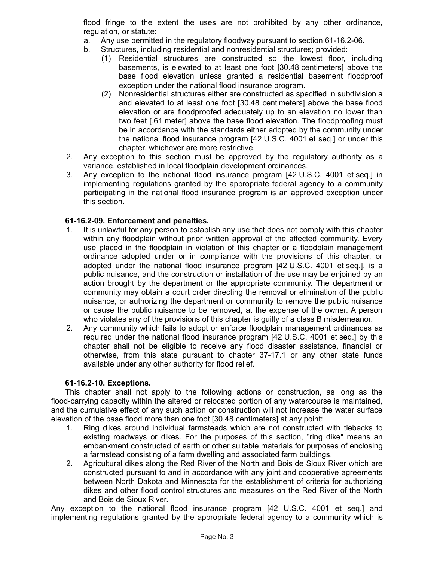flood fringe to the extent the uses are not prohibited by any other ordinance, regulation, or statute:

- a. Any use permitted in the regulatory floodway pursuant to section 61-16.2-06.
- b. Structures, including residential and nonresidential structures; provided:
	- (1) Residential structures are constructed so the lowest floor, including basements, is elevated to at least one foot [30.48 centimeters] above the base flood elevation unless granted a residential basement floodproof exception under the national flood insurance program.
	- (2) Nonresidential structures either are constructed as specified in subdivision a and elevated to at least one foot [30.48 centimeters] above the base flood elevation or are floodproofed adequately up to an elevation no lower than two feet [.61 meter] above the base flood elevation. The floodproofing must be in accordance with the standards either adopted by the community under the national flood insurance program [42 U.S.C. 4001 et seq.] or under this chapter, whichever are more restrictive.
- 2. Any exception to this section must be approved by the regulatory authority as a variance, established in local floodplain development ordinances.
- 3. Any exception to the national flood insurance program [42 U.S.C. 4001 et seq.] in implementing regulations granted by the appropriate federal agency to a community participating in the national flood insurance program is an approved exception under this section.

# **61-16.2-09. Enforcement and penalties.**

- 1. It is unlawful for any person to establish any use that does not comply with this chapter within any floodplain without prior written approval of the affected community. Every use placed in the floodplain in violation of this chapter or a floodplain management ordinance adopted under or in compliance with the provisions of this chapter, or adopted under the national flood insurance program [42 U.S.C. 4001 et seq.], is a public nuisance, and the construction or installation of the use may be enjoined by an action brought by the department or the appropriate community. The department or community may obtain a court order directing the removal or elimination of the public nuisance, or authorizing the department or community to remove the public nuisance or cause the public nuisance to be removed, at the expense of the owner. A person who violates any of the provisions of this chapter is guilty of a class B misdemeanor.
- 2. Any community which fails to adopt or enforce floodplain management ordinances as required under the national flood insurance program [42 U.S.C. 4001 et seq.] by this chapter shall not be eligible to receive any flood disaster assistance, financial or otherwise, from this state pursuant to chapter 37-17.1 or any other state funds available under any other authority for flood relief.

# **61-16.2-10. Exceptions.**

This chapter shall not apply to the following actions or construction, as long as the flood-carrying capacity within the altered or relocated portion of any watercourse is maintained, and the cumulative effect of any such action or construction will not increase the water surface elevation of the base flood more than one foot [30.48 centimeters] at any point:

- 1. Ring dikes around individual farmsteads which are not constructed with tiebacks to existing roadways or dikes. For the purposes of this section, "ring dike" means an embankment constructed of earth or other suitable materials for purposes of enclosing a farmstead consisting of a farm dwelling and associated farm buildings.
- 2. Agricultural dikes along the Red River of the North and Bois de Sioux River which are constructed pursuant to and in accordance with any joint and cooperative agreements between North Dakota and Minnesota for the establishment of criteria for authorizing dikes and other flood control structures and measures on the Red River of the North and Bois de Sioux River.

Any exception to the national flood insurance program [42 U.S.C. 4001 et seq.] and implementing regulations granted by the appropriate federal agency to a community which is